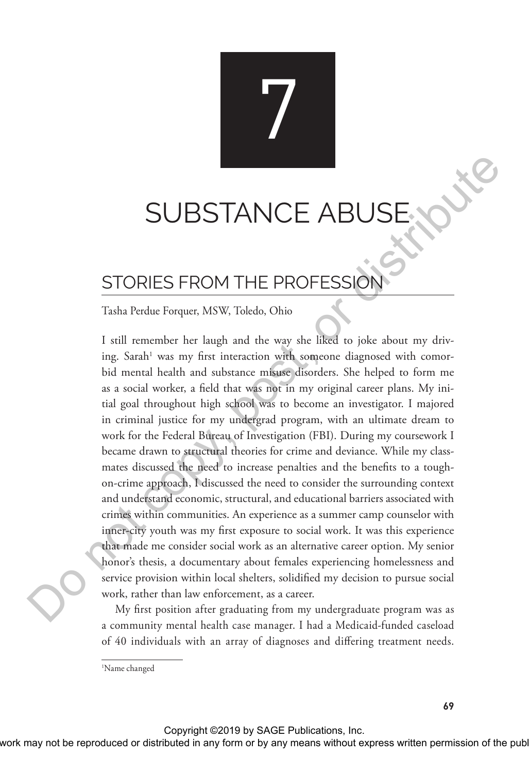# **SUBSTANCE AI**

7

# STORIES FROM THE PROFESSION

#### Tasha Perdue Forquer, MSW, Toledo, Ohio

I still remember her laugh and the way she liked to joke about my driving. Sarah<sup>1</sup> was my first interaction with someone diagnosed with comorbid mental health and substance misuse disorders. She helped to form me as a social worker, a field that was not in my original career plans. My initial goal throughout high school was to become an investigator. I majored in criminal justice for my undergrad program, with an ultimate dream to work for the Federal Bureau of Investigation (FBI). During my coursework I became drawn to structural theories for crime and deviance. While my classmates discussed the need to increase penalties and the benefits to a toughon-crime approach, I discussed the need to consider the surrounding context and understand economic, structural, and educational barriers associated with crimes within communities. An experience as a summer camp counselor with inner-city youth was my first exposure to social work. It was this experience that made me consider social work as an alternative career option. My senior honor's thesis, a documentary about females experiencing homelessness and service provision within local shelters, solidified my decision to pursue social work, rather than law enforcement, as a career. SUBSTANCE ABUSE<br>
Tasku Ruska Forque, MSW, Takako. Ohio<br>
Tasku Ruska Forque, MSW, Takako. Ohio<br>
Tasku Ruska Forque, MSW, Takako. Ohio<br>
Tasku Ruska Forque, distributed in any phe be liked to joke about my drive<br>ing Sarah' w

My first position after graduating from my undergraduate program was as a community mental health case manager. I had a Medicaid-funded caseload of 40 individuals with an array of diagnoses and differing treatment needs.

<sup>1</sup> Name changed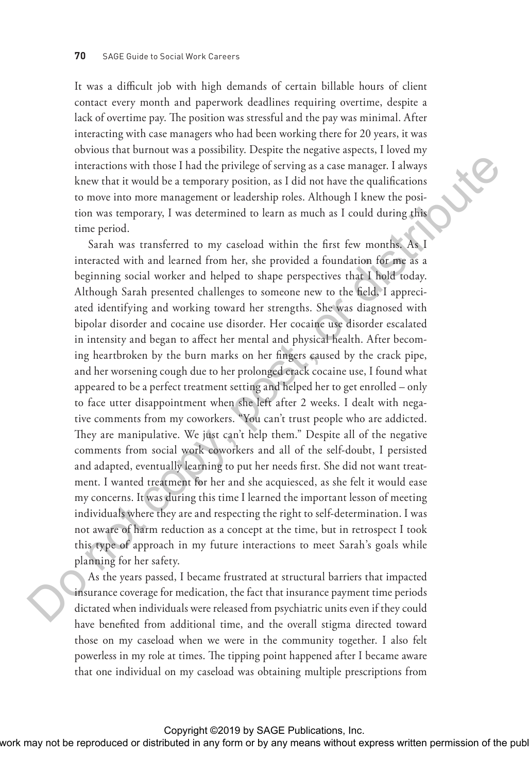It was a difficult job with high demands of certain billable hours of client contact every month and paperwork deadlines requiring overtime, despite a lack of overtime pay. The position was stressful and the pay was minimal. After interacting with case managers who had been working there for 20 years, it was obvious that burnout was a possibility. Despite the negative aspects, I loved my interactions with those I had the privilege of serving as a case manager. I always knew that it would be a temporary position, as I did not have the qualifications to move into more management or leadership roles. Although I knew the position was temporary, I was determined to learn as much as I could during this time period.

Sarah was transferred to my caseload within the first few months. As I interacted with and learned from her, she provided a foundation for me as a beginning social worker and helped to shape perspectives that I hold today. Although Sarah presented challenges to someone new to the field, I appreciated identifying and working toward her strengths. She was diagnosed with bipolar disorder and cocaine use disorder. Her cocaine use disorder escalated in intensity and began to affect her mental and physical health. After becoming heartbroken by the burn marks on her fingers caused by the crack pipe, and her worsening cough due to her prolonged crack cocaine use, I found what appeared to be a perfect treatment setting and helped her to get enrolled – only to face utter disappointment when she left after 2 weeks. I dealt with negative comments from my coworkers. "You can't trust people who are addicted. They are manipulative. We just can't help them." Despite all of the negative comments from social work coworkers and all of the self-doubt, I persisted and adapted, eventually learning to put her needs first. She did not want treatment. I wanted treatment for her and she acquiesced, as she felt it would ease my concerns. It was during this time I learned the important lesson of meeting individuals where they are and respecting the right to self-determination. I was not aware of harm reduction as a concept at the time, but in retrospect I took this type of approach in my future interactions to meet Sarah's goals while planning for her safety. Interactions with those leads the private for acting as a case images of alternative more in or any form or backgroups of the state or the publisher or the publisher or the publisher or the publisher. The publisher or the

As the years passed, I became frustrated at structural barriers that impacted insurance coverage for medication, the fact that insurance payment time periods dictated when individuals were released from psychiatric units even if they could have benefited from additional time, and the overall stigma directed toward those on my caseload when we were in the community together. I also felt powerless in my role at times. The tipping point happened after I became aware that one individual on my caseload was obtaining multiple prescriptions from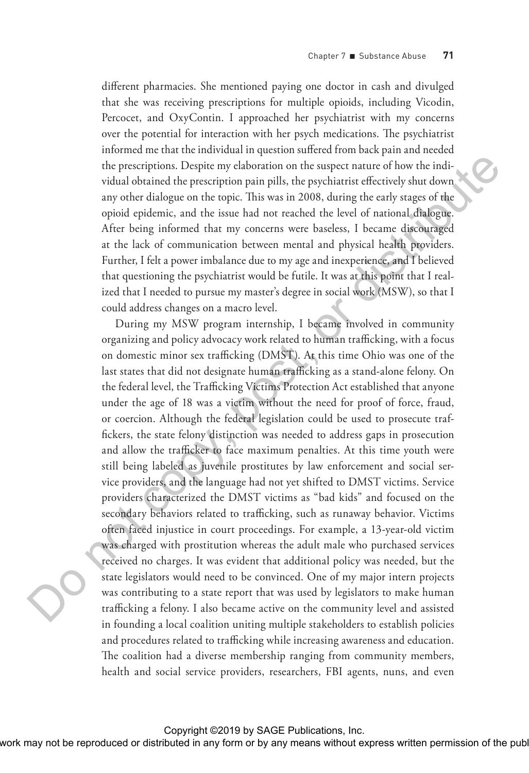different pharmacies. She mentioned paying one doctor in cash and divulged that she was receiving prescriptions for multiple opioids, including Vicodin, Percocet, and OxyContin. I approached her psychiatrist with my concerns over the potential for interaction with her psych medications. The psychiatrist informed me that the individual in question suffered from back pain and needed the prescriptions. Despite my elaboration on the suspect nature of how the individual obtained the prescription pain pills, the psychiatrist effectively shut down any other dialogue on the topic. This was in 2008, during the early stages of the opioid epidemic, and the issue had not reached the level of national dialogue. After being informed that my concerns were baseless, I became discouraged at the lack of communication between mental and physical health providers. Further, I felt a power imbalance due to my age and inexperience, and I believed that questioning the psychiatrist would be futile. It was at this point that I realized that I needed to pursue my master's degree in social work (MSW), so that I could address changes on a macro level.

During my MSW program internship, I became involved in community organizing and policy advocacy work related to human trafficking, with a focus on domestic minor sex trafficking (DMST). At this time Ohio was one of the last states that did not designate human trafficking as a stand-alone felony. On the federal level, the Trafficking Victims Protection Act established that anyone under the age of 18 was a victim without the need for proof of force, fraud, or coercion. Although the federal legislation could be used to prosecute traffickers, the state felony distinction was needed to address gaps in prosecution and allow the trafficker to face maximum penalties. At this time youth were still being labeled as juvenile prostitutes by law enforcement and social service providers, and the language had not yet shifted to DMST victims. Service providers characterized the DMST victims as "bad kids" and focused on the secondary behaviors related to trafficking, such as runaway behavior. Victims often faced injustice in court proceedings. For example, a 13-year-old victim was charged with prostitution whereas the adult male who purchased services received no charges. It was evident that additional policy was needed, but the state legislators would need to be convinced. One of my major intern projects was contributing to a state report that was used by legislators to make human trafficking a felony. I also became active on the community level and assisted in founding a local coalition uniting multiple stakeholders to establish policies and procedures related to trafficking while increasing awareness and education. The coalition had a diverse membership ranging from community members, health and social service providers, researchers, FBI agents, nuns, and even The publisherial control or the results of the results of the publisherial control or distributed in any order distributed in any control or the publisherial control or distributed in any means of the publisherial control

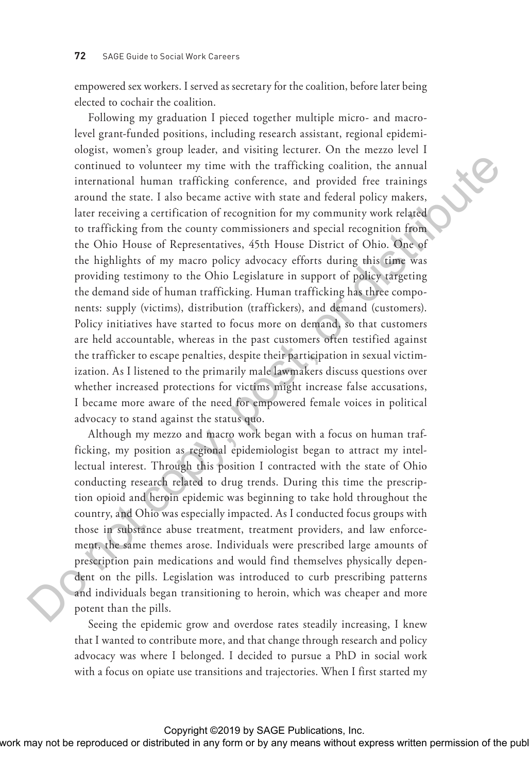empowered sex workers. I served as secretary for the coalition, before later being elected to cochair the coalition.

Following my graduation I pieced together multiple micro- and macrolevel grant-funded positions, including research assistant, regional epidemiologist, women's group leader, and visiting lecturer. On the mezzo level I continued to volunteer my time with the trafficking coalition, the annual international human trafficking conference, and provided free trainings around the state. I also became active with state and federal policy makers, later receiving a certification of recognition for my community work related to trafficking from the county commissioners and special recognition from the Ohio House of Representatives, 45th House District of Ohio. One of the highlights of my macro policy advocacy efforts during this time was providing testimony to the Ohio Legislature in support of policy targeting the demand side of human trafficking. Human trafficking has three components: supply (victims), distribution (traffickers), and demand (customers). Policy initiatives have started to focus more on demand, so that customers are held accountable, whereas in the past customers often testified against the trafficker to escape penalties, despite their participation in sexual victimization. As I listened to the primarily male lawmakers discuss questions over whether increased protections for victims might increase false accusations, I became more aware of the need for empowered female voices in political advocacy to stand against the status quo. Continuous distributed or the restribution or the reproduced in an analysis inter receiver and permission or the relation of the publisher or the publisher. The comparison of the publisher or distribution of the comparis

Although my mezzo and macro work began with a focus on human trafficking, my position as regional epidemiologist began to attract my intellectual interest. Through this position I contracted with the state of Ohio conducting research related to drug trends. During this time the prescription opioid and heroin epidemic was beginning to take hold throughout the country, and Ohio was especially impacted. As I conducted focus groups with those in substance abuse treatment, treatment providers, and law enforcement, the same themes arose. Individuals were prescribed large amounts of prescription pain medications and would find themselves physically dependent on the pills. Legislation was introduced to curb prescribing patterns and individuals began transitioning to heroin, which was cheaper and more potent than the pills.

Seeing the epidemic grow and overdose rates steadily increasing, I knew that I wanted to contribute more, and that change through research and policy advocacy was where I belonged. I decided to pursue a PhD in social work with a focus on opiate use transitions and trajectories. When I first started my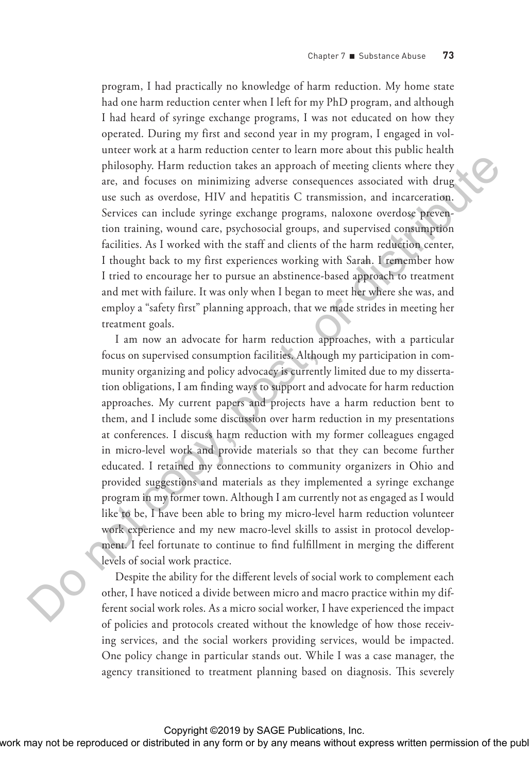program, I had practically no knowledge of harm reduction. My home state had one harm reduction center when I left for my PhD program, and although I had heard of syringe exchange programs, I was not educated on how they operated. During my first and second year in my program, I engaged in volunteer work at a harm reduction center to learn more about this public health philosophy. Harm reduction takes an approach of meeting clients where they are, and focuses on minimizing adverse consequences associated with drug use such as overdose, HIV and hepatitis C transmission, and incarceration. Services can include syringe exchange programs, naloxone overdose prevention training, wound care, psychosocial groups, and supervised consumption facilities. As I worked with the staff and clients of the harm reduction center, I thought back to my first experiences working with Sarah. I remember how I tried to encourage her to pursue an abstinence-based approach to treatment and met with failure. It was only when I began to meet her where she was, and employ a "safety first" planning approach, that we made strides in meeting her treatment goals.

I am now an advocate for harm reduction approaches, with a particular focus on supervised consumption facilities. Although my participation in community organizing and policy advocacy is currently limited due to my dissertation obligations, I am finding ways to support and advocate for harm reduction approaches. My current papers and projects have a harm reduction bent to them, and I include some discussion over harm reduction in my presentations at conferences. I discuss harm reduction with my former colleagues engaged in micro-level work and provide materials so that they can become further educated. I retained my connections to community organizers in Ohio and provided suggestions and materials as they implemented a syringe exchange program in my former town. Although I am currently not as engaged as I would like to be, I have been able to bring my micro-level harm reduction volunteer work experience and my new macro-level skills to assist in protocol development. I feel fortunate to continue to find fulfillment in merging the different levels of social work practice. philosopy. Henn coden or this will approach function the reproduced in the publisher or models are such an overbane. HIV and hapatis C transmission, and incurrection permission or the representation of the produced in any

Despite the ability for the different levels of social work to complement each other, I have noticed a divide between micro and macro practice within my different social work roles. As a micro social worker, I have experienced the impact of policies and protocols created without the knowledge of how those receiving services, and the social workers providing services, would be impacted. One policy change in particular stands out. While I was a case manager, the agency transitioned to treatment planning based on diagnosis. This severely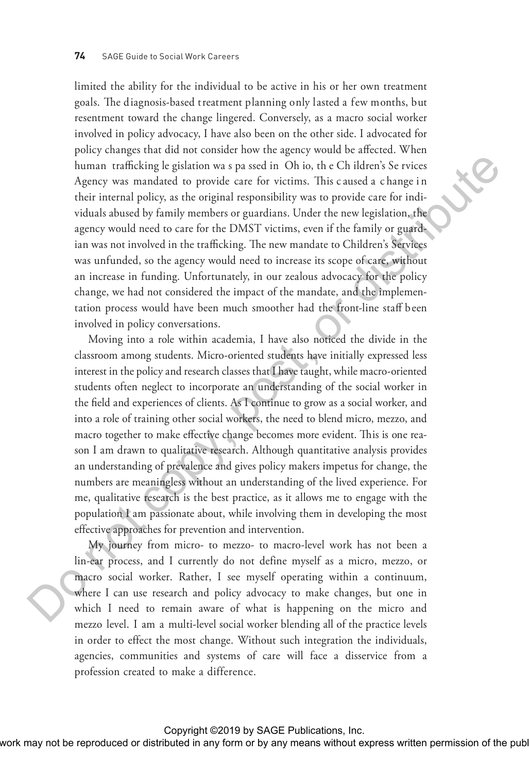limited the ability for the individual to be active in his or her own treatment goals. The diagnosis-based treatment planning only lasted a few months, but resentment toward the change lingered. Conversely, as a macro social worker involved in policy advocacy, I have also been on the other side. I advocated for policy changes that did not consider how the agency would be affected. When human trafficking le gislation wa s pa ssed in Oh io, th e Ch ildren's Se rvices Agency was mandated to provide care for victims. This c aused a c hange i n their internal policy, as the original responsibility was to provide care for individuals abused by family members or guardians. Under the new legislation, the agency would need to care for the DMST victims, even if the family or guardian was not involved in the trafficking. The new mandate to Children's Services was unfunded, so the agency would need to increase its scope of care, without an increase in funding. Unfortunately, in our zealous advocacy for the policy change, we had not considered the impact of the mandate, and the implementation process would have been much smoother had the front-line staff been involved in policy conversations.

Moving into a role within academia, I have also noticed the divide in the classroom among students. Micro-oriented students have initially expressed less interest in the policy and research classes that I have taught, while macro-oriented students often neglect to incorporate an understanding of the social worker in the field and experiences of clients. As I continue to grow as a social worker, and into a role of training other social workers, the need to blend micro, mezzo, and macro together to make effective change becomes more evident. This is one reason I am drawn to qualitative research. Although quantitative analysis provides an understanding of prevalence and gives policy makers impetus for change, the numbers are meaningless without an understanding of the lived experience. For me, qualitative research is the best practice, as it allows me to engage with the population I am passionate about, while involving them in developing the most effective approaches for prevention and intervention. In<br>mann craftschape by chain to a pursule in a form of the relation Sections. This cause<br>of the relation of the relation of the relationship was to provide care for distributions,<br>the relationship with a state or the publ

My journey from micro- to mezzo- to macro-level work has not been a lin-ear process, and I currently do not define myself as a micro, mezzo, or macro social worker. Rather, I see myself operating within a continuum, where I can use research and policy advocacy to make changes, but one in which I need to remain aware of what is happening on the micro and mezzo level. I am a multi-level social worker blending all of the practice levels in order to effect the most change. Without such integration the individuals, agencies, communities and systems of care will face a disservice from a profession created to make a difference.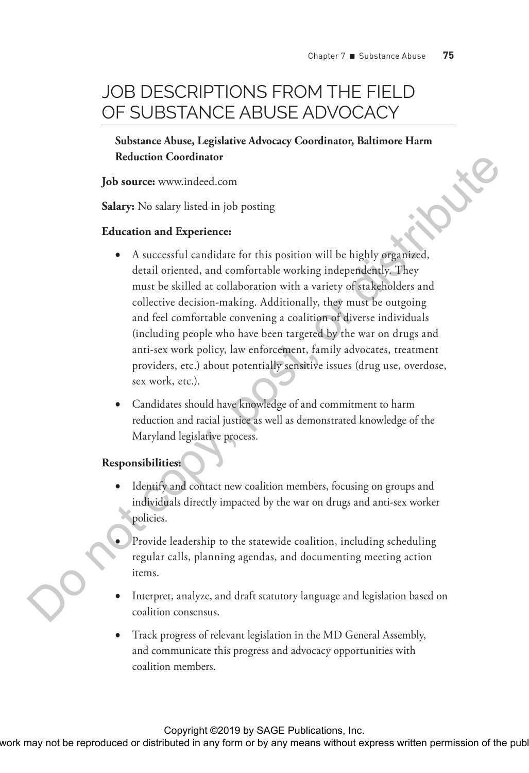# JOB DESCRIPTIONS FROM THE FIFI D OF SUBSTANCE ABUSE ADVOCACY

**Substance Abuse, Legislative Advocacy Coordinator, Baltimore Harm Reduction Coordinator**

**Job source:** www.indeed.com

**Salary:** No salary listed in job posting

#### **Education and Experience:**

- A successful candidate for this position will be highly organized, detail oriented, and comfortable working independently. They must be skilled at collaboration with a variety of stakeholders and collective decision-making. Additionally, they must be outgoing and feel comfortable convening a coalition of diverse individuals (including people who have been targeted by the war on drugs and anti-sex work policy, law enforcement, family advocates, treatment providers, etc.) about potentially sensitive issues (drug use, overdose, sex work, etc.). **Example 10 Solution Contributed or Any means with the representation of the publisher of the representation of the publisher of the publishers with a composite permission of the publisher. Any means the stillad an enhi** 
	- •• Candidates should have knowledge of and commitment to harm reduction and racial justice as well as demonstrated knowledge of the Maryland legislative process.

#### **Responsibilities:**

- Identify and contact new coalition members, focusing on groups and individuals directly impacted by the war on drugs and anti-sex worker policies.
- Provide leadership to the statewide coalition, including scheduling regular calls, planning agendas, and documenting meeting action items.
- Interpret, analyze, and draft statutory language and legislation based on coalition consensus.
- Track progress of relevant legislation in the MD General Assembly, and communicate this progress and advocacy opportunities with coalition members.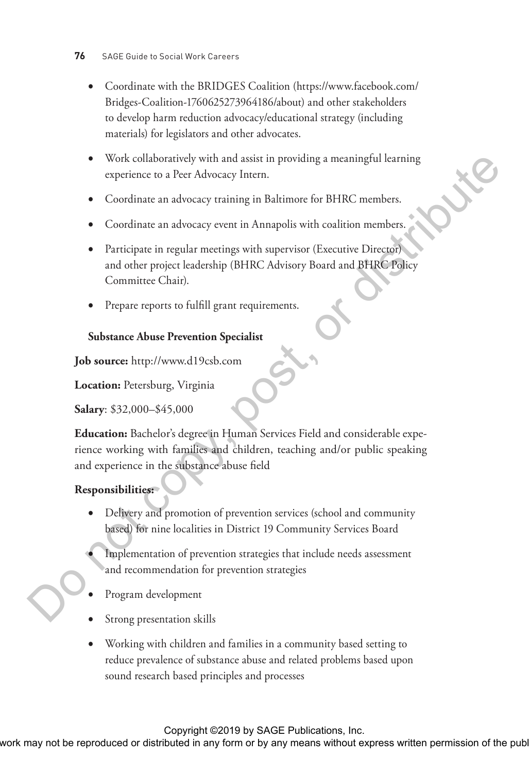- •• Coordinate with the BRIDGES Coalition (https://www.facebook.com/ Bridges-Coalition-1760625273964186/about) and other stakeholders to develop harm reduction advocacy/educational strategy (including materials) for legislators and other advocates.
- •• Work collaboratively with and assist in providing a meaningful learning experience to a Peer Advocacy Intern.
- Coordinate an advocacy training in Baltimore for BHRC members.
- Coordinate an advocacy event in Annapolis with coalition members.
- Participate in regular meetings with supervisor (Executive Director) and other project leadership (BHRC Advisory Board and BHRC Policy Committee Chair).
- Prepare reports to fulfill grant requirements.

### **Substance Abuse Prevention Specialist**

**Job source:** http://www.d19csb.com

**Location:** Petersburg, Virginia

**Salary**: \$32,000–\$45,000

**Education:** Bachelor's degree in Human Services Field and considerable experience working with families and children, teaching and/or public speaking and experience in the substance abuse field What conducts the representation of the publisher may be reproduced or distributed in any form or by any means with conduct permission or  $\sim$  Coordinate an advocacy event in Annapolis with coalition member.<br>
• Coordinate

### **Responsibilities:**

- Delivery and promotion of prevention services (school and community based) for nine localities in District 19 Community Services Board
- Implementation of prevention strategies that include needs assessment and recommendation for prevention strategies
- Program development
- Strong presentation skills
- •• Working with children and families in a community based setting to reduce prevalence of substance abuse and related problems based upon sound research based principles and processes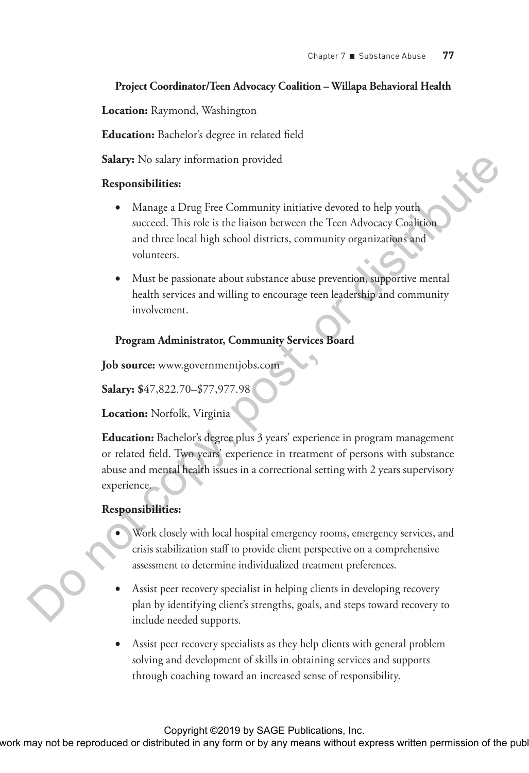#### **Project Coordinator/Teen Advocacy Coalition – Willapa Behavioral Health**

**Location:** Raymond, Washington

**Education:** Bachelor's degree in related field

**Salary:** No salary information provided

#### **Responsibilities:**

- Manage a Drug Free Community initiative devoted to help youth succeed. This role is the liaison between the Teen Advocacy Coalition and three local high school districts, community organizations and volunteers.
- Must be passionate about substance abuse prevention, supportive mental health services and willing to encourage teen leadership and community involvement.

### **Program Administrator, Community Services Board**

**Job source:** www.governmentjobs.com

**Salary: \$**47,822.70–\$77,977.98

**Location:** Norfolk, Virginia

**Education:** Bachelor's degree plus 3 years' experience in program management or related field. Two years' experience in treatment of persons with substance abuse and mental health issues in a correctional setting with 2 years supervisory experience. Salarys Not edlary information provided<br> **Responsibilities:**<br> **Conserved** This reproduced in the liation between the Teen Advocary Collision<br>
and three loss in the liation between the Teen Advocary Collision<br>
while the pu

#### **Responsibilities:**

- Work closely with local hospital emergency rooms, emergency services, and crisis stabilization staff to provide client perspective on a comprehensive assessment to determine individualized treatment preferences.
- Assist peer recovery specialist in helping clients in developing recovery plan by identifying client's strengths, goals, and steps toward recovery to include needed supports.
- Assist peer recovery specialists as they help clients with general problem solving and development of skills in obtaining services and supports through coaching toward an increased sense of responsibility.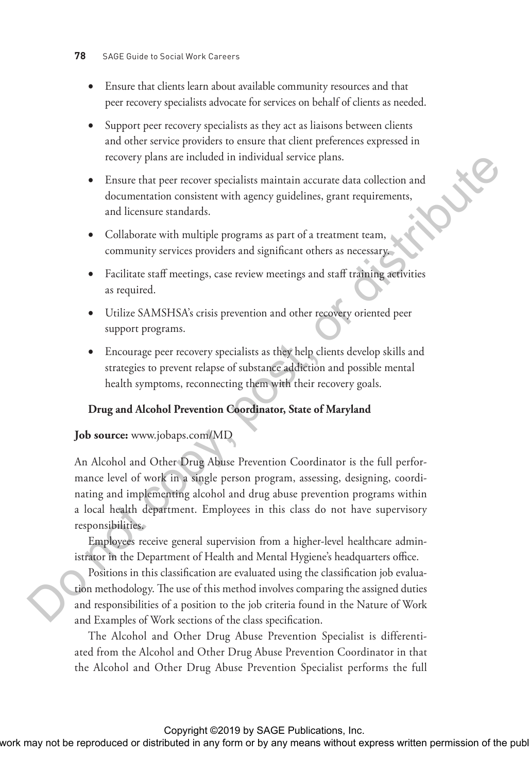- Ensure that clients learn about available community resources and that peer recovery specialists advocate for services on behalf of clients as needed.
- Support peer recovery specialists as they act as liaisons between clients and other service providers to ensure that client preferences expressed in recovery plans are included in individual service plans.
- •• Ensure that peer recover specialists maintain accurate data collection and documentation consistent with agency guidelines, grant requirements, and licensure standards.
- Collaborate with multiple programs as part of a treatment team, community services providers and significant others as necessary.
- Facilitate staff meetings, case review meetings and staff training activities as required.
- Utilize SAMSHSA's crisis prevention and other recovery oriented peer support programs.
- •• Encourage peer recovery specialists as they help clients develop skills and strategies to prevent relapse of substance addiction and possible mental health symptoms, reconnecting them with their recovery goals.

#### **Drug and Alcohol Prevention Coordinator, State of Maryland**

#### **Job source:** www.jobaps.com/MD

An Alcohol and Other Drug Abuse Prevention Coordinator is the full performance level of work in a single person program, assessing, designing, coordinating and implementing alcohol and drug abuse prevention programs within a local health department. Employees in this class do not have supervisory responsibilities. From this work may not be represented to the representation consistent with a space particular account of the community service provident and spaticisms, game requirements, community service provident and significant obes

Employees receive general supervision from a higher-level healthcare administrator in the Department of Health and Mental Hygiene's headquarters office.

Positions in this classification are evaluated using the classification job evaluation methodology. The use of this method involves comparing the assigned duties and responsibilities of a position to the job criteria found in the Nature of Work and Examples of Work sections of the class specification.

The Alcohol and Other Drug Abuse Prevention Specialist is differentiated from the Alcohol and Other Drug Abuse Prevention Coordinator in that the Alcohol and Other Drug Abuse Prevention Specialist performs the full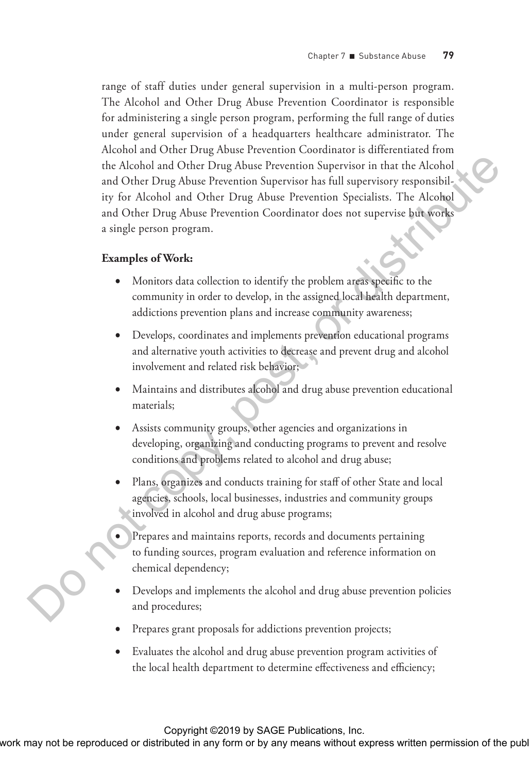range of staff duties under general supervision in a multi-person program. The Alcohol and Other Drug Abuse Prevention Coordinator is responsible for administering a single person program, performing the full range of duties under general supervision of a headquarters healthcare administrator. The Alcohol and Other Drug Abuse Prevention Coordinator is differentiated from the Alcohol and Other Drug Abuse Prevention Supervisor in that the Alcohol and Other Drug Abuse Prevention Supervisor has full supervisory responsibility for Alcohol and Other Drug Abuse Prevention Specialists. The Alcohol and Other Drug Abuse Prevention Coordinator does not supervise but works a single person program. The Aleksian and Other Ding Abuse Preservinto Super-Bure for distributed in a Michal and Other Ding Abuse Preservinto Specifies. The Alecholar and Other Ding Abuse Preservinto Coordinator density are<br>provided in any means

#### **Examples of Work:**

- Monitors data collection to identify the problem areas specific to the community in order to develop, in the assigned local health department, addictions prevention plans and increase community awareness;
- •• Develops, coordinates and implements prevention educational programs and alternative youth activities to decrease and prevent drug and alcohol involvement and related risk behavior;
- Maintains and distributes alcohol and drug abuse prevention educational materials;
- Assists community groups, other agencies and organizations in developing, organizing and conducting programs to prevent and resolve conditions and problems related to alcohol and drug abuse;
- Plans, organizes and conducts training for staff of other State and local agencies, schools, local businesses, industries and community groups involved in alcohol and drug abuse programs;
- Prepares and maintains reports, records and documents pertaining to funding sources, program evaluation and reference information on chemical dependency;
- Develops and implements the alcohol and drug abuse prevention policies and procedures;
- Prepares grant proposals for addictions prevention projects;
- Evaluates the alcohol and drug abuse prevention program activities of the local health department to determine effectiveness and efficiency;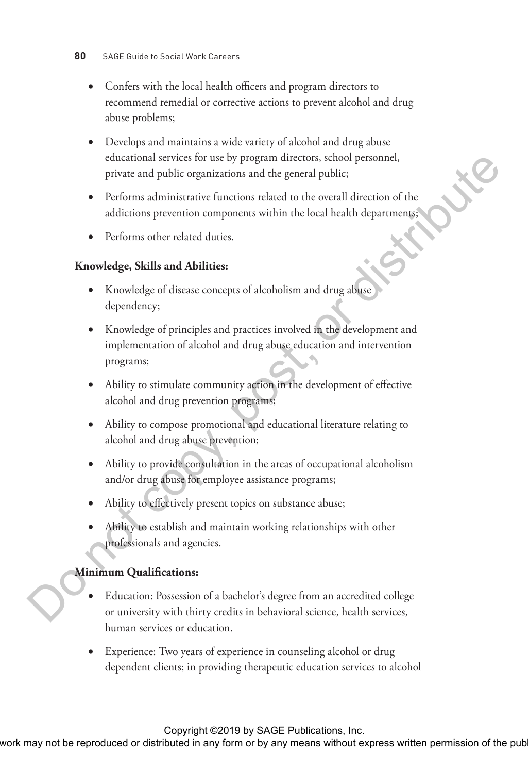- Confers with the local health officers and program directors to recommend remedial or corrective actions to prevent alcohol and drug abuse problems;
- Develops and maintains a wide variety of alcohol and drug abuse educational services for use by program directors, school personnel, private and public organizations and the general public;
- Performs administrative functions related to the overall direction of the addictions prevention components within the local health departments;
- Performs other related duties.

### **Knowledge, Skills and Abilities:**

- Knowledge of disease concepts of alcoholism and drug abuse dependency;
- •• Knowledge of principles and practices involved in the development and implementation of alcohol and drug abuse education and intervention programs; External to reproduce the reproduced or distributed or distributed or distributed in any form or by any means within the local behalf department.<br>
The form or but control components within the local beach department.<br>
Depe
	- Ability to stimulate community action in the development of effective alcohol and drug prevention programs;
	- Ability to compose promotional and educational literature relating to alcohol and drug abuse prevention;
	- Ability to provide consultation in the areas of occupational alcoholism and/or drug abuse for employee assistance programs;
	- Ability to effectively present topics on substance abuse;
	- Ability to establish and maintain working relationships with other professionals and agencies.

#### **Minimum Qualifications:**

- Education: Possession of a bachelor's degree from an accredited college or university with thirty credits in behavioral science, health services, human services or education.
- Experience: Two years of experience in counseling alcohol or drug dependent clients; in providing therapeutic education services to alcohol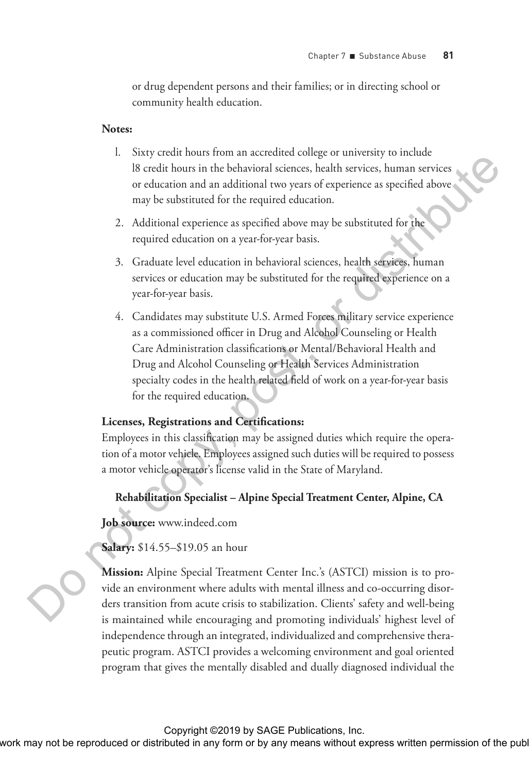or drug dependent persons and their families; or in directing school or community health education.

#### **Notes:**

- l. Sixty credit hours from an accredited college or university to include l8 credit hours in the behavioral sciences, health services, human services or education and an additional two years of experience as specified above may be substituted for the required education.
- 2. Additional experience as specified above may be substituted for the required education on a year-for-year basis.
- 3. Graduate level education in behavioral sciences, health services, human services or education may be substituted for the required experience on a year-for-year basis.
- 4. Candidates may substitute U.S. Armed Forces military service experience as a commissioned officer in Drug and Alcohol Counseling or Health Care Administration classifications or Mental/Behavioral Health and Drug and Alcohol Counseling or Health Services Administration specialty codes in the health related field of work on a year-for-year basis for the required education.

#### **Licenses, Registrations and Certifications:**

Employees in this classification may be assigned duties which require the operation of a motor vehicle. Employees assigned such duties will be required to possess a motor vehicle operator's license valid in the State of Maryland.

#### **Rehabilitation Specialist – Alpine Special Treatment Center, Alpine, CA**

**Job source:** www.indeed.com

**Salary:** \$14.55–\$19.05 an hour

**Mission:** Alpine Special Treatment Center Inc.'s (ASTCI) mission is to provide an environment where adults with mental illness and co-occurring disorders transition from acute crisis to stabilization. Clients' safety and well-being is maintained while encouraging and promoting individuals' highest level of independence through an integrated, individualized and comprehensive therapeutic program. ASTCI provides a welcoming environment and goal oriented program that gives the mentally disabled and dually diagnosed individual the This work may not be reproduced or distributed in any form or distributed in any form or distributed in any means or distributed in any means when the stationary of the publisher and an although a service or any distribut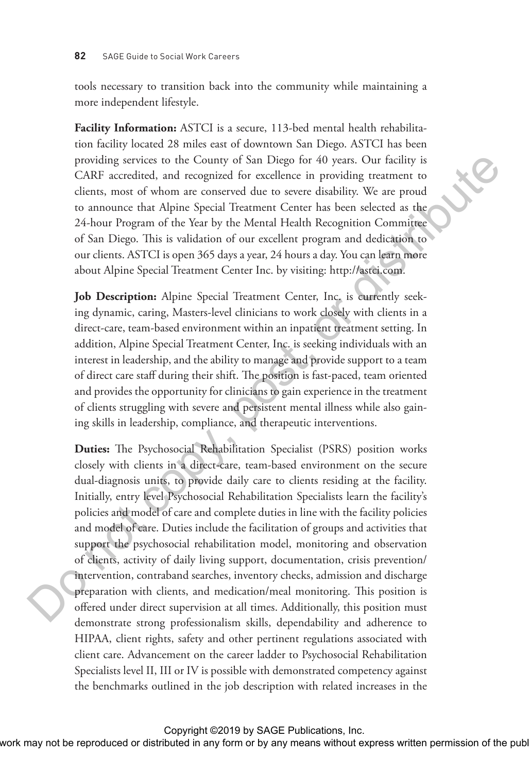tools necessary to transition back into the community while maintaining a more independent lifestyle.

**Facility Information:** ASTCI is a secure, 113-bed mental health rehabilitation facility located 28 miles east of downtown San Diego. ASTCI has been providing services to the County of San Diego for 40 years. Our facility is CARF accredited, and recognized for excellence in providing treatment to clients, most of whom are conserved due to severe disability. We are proud to announce that Alpine Special Treatment Center has been selected as the 24-hour Program of the Year by the Mental Health Recognition Committee of San Diego. This is validation of our excellent program and dedication to our clients. ASTCI is open 365 days a year, 24 hours a day. You can learn more about Alpine Special Treatment Center Inc. by visiting: http://astci.com.

**Job Description:** Alpine Special Treatment Center, Inc. is currently seeking dynamic, caring, Masters-level clinicians to work closely with clients in a direct-care, team-based environment within an inpatient treatment setting. In addition, Alpine Special Treatment Center, Inc. is seeking individuals with an interest in leadership, and the ability to manage and provide support to a team of direct care staff during their shift. The position is fast-paced, team oriented and provides the opportunity for clinicians to gain experience in the treatment of clients struggling with severe and persistent mental illness while also gaining skills in leadership, compliance, and therapeutic interventions.

**Duties:** The Psychosocial Rehabilitation Specialist (PSRS) position works closely with clients in a direct-care, team-based environment on the secure dual-diagnosis units, to provide daily care to clients residing at the facility. Initially, entry level Psychosocial Rehabilitation Specialists learn the facility's policies and model of care and complete duties in line with the facility policies and model of care. Duties include the facilitation of groups and activities that support the psychosocial rehabilitation model, monitoring and observation of clients, activity of daily living support, documentation, crisis prevention/ intervention, contraband searches, inventory checks, admission and discharge preparation with clients, and medication/meal monitoring. This position is offered under direct supervision at all times. Additionally, this position must demonstrate strong professionalism skills, dependability and adherence to HIPAA, client rights, safety and other pertinent regulations associated with client care. Advancement on the career ladder to Psychosocial Rehabilitation Specialists level II, III or IV is possible with demonstrated competency against the benchmarks outlined in the job description with related increases in the providing services to the Country of Sam Distributed in the results of the rest candidric We are proof the rest to the results of the state in the results of the control are constrained due to severe finding the vertex pos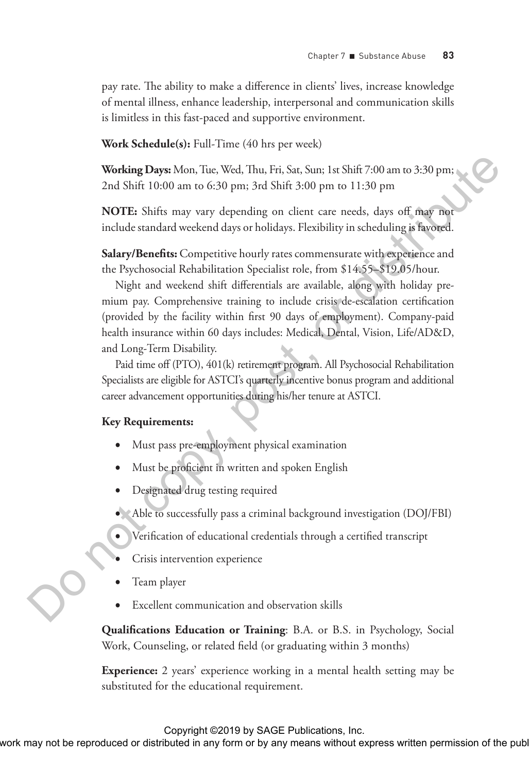pay rate. The ability to make a difference in clients' lives, increase knowledge of mental illness, enhance leadership, interpersonal and communication skills is limitless in this fast-paced and supportive environment.

**Work Schedule(s):** Full-Time (40 hrs per week)

**Working Days:** Mon, Tue, Wed, Thu, Fri, Sat, Sun; 1st Shift 7:00 am to 3:30 pm; 2nd Shift 10:00 am to 6:30 pm; 3rd Shift 3:00 pm to 11:30 pm

**NOTE:** Shifts may vary depending on client care needs, days off may not include standard weekend days or holidays. Flexibility in scheduling is favored.

**Salary/Benefits:** Competitive hourly rates commensurate with experience and the Psychosocial Rehabilitation Specialist role, from \$14.55–\$19.05/hour.

Night and weekend shift differentials are available, along with holiday premium pay. Comprehensive training to include crisis de-escalation certification (provided by the facility within first 90 days of employment). Company-paid health insurance within 60 days includes: Medical, Dental, Vision, Life/AD&D, and Long-Term Disability. Working Dayes More, Time, Weid, Thu, Fri, Sat, Sare, Las Sarii 7500 am or 6:300 pm;<br>
2nd Shift 10:00 am or 6:300 pm; and Shift 5:00 pm is 11:300 pm<br>
NOTE: Shifts any vary dispending on classes are anoted, daye off, may me

Paid time off (PTO), 401(k) retirement program. All Psychosocial Rehabilitation Specialists are eligible for ASTCI's quarterly incentive bonus program and additional career advancement opportunities during his/her tenure at ASTCI.

#### **Key Requirements:**

- Must pass pre-employment physical examination
- Must be proficient in written and spoken English
- Designated drug testing required
- Able to successfully pass a criminal background investigation (DOJ/FBI)
- •• Verification of educational credentials through a certified transcript
- Crisis intervention experience
- Team player
- Excellent communication and observation skills

**Qualifications Education or Training**: B.A. or B.S. in Psychology, Social Work, Counseling, or related field (or graduating within 3 months)

**Experience:** 2 years' experience working in a mental health setting may be substituted for the educational requirement.